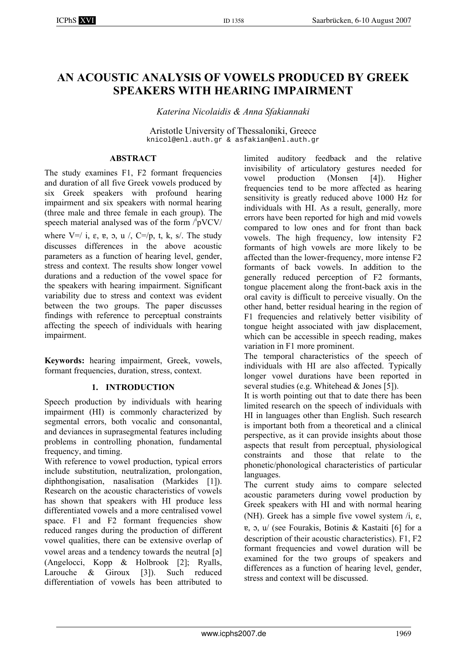# **AN ACOUSTIC ANALYSIS OF VOWELS PRODUCED BY GREEK SPEAKERS WITH HEARING IMPAIRMENT**

*Katerina Nicolaidis & Anna Sfakiannaki* 

Aristotle University of Thessaloniki, Greece knicol@enl.auth.gr & asfakian@enl.auth.gr

# **ABSTRACT**

The study examines F1, F2 formant frequencies and duration of all five Greek vowels produced by six Greek speakers with profound hearing impairment and six speakers with normal hearing (three male and three female in each group). The speech material analysed was of the form /'pVCV/

where  $V=$ / i,  $\varepsilon$ ,  $v = v$ ,  $v = v$ ,  $C=v$ ,  $v = v$ ,  $k$ ,  $s$ . The study discusses differences in the above acoustic parameters as a function of hearing level, gender, stress and context. The results show longer vowel durations and a reduction of the vowel space for the speakers with hearing impairment. Significant variability due to stress and context was evident between the two groups. The paper discusses findings with reference to perceptual constraints affecting the speech of individuals with hearing impairment.

**Keywords:** hearing impairment, Greek, vowels, formant frequencies, duration, stress, context.

# **1. INTRODUCTION**

Speech production by individuals with hearing impairment (HI) is commonly characterized by segmental errors, both vocalic and consonantal, and deviances in suprasegmental features including problems in controlling phonation, fundamental frequency, and timing.

With reference to vowel production, typical errors include substitution, neutralization, prolongation, diphthongisation, nasalisation (Markides [1]). Research on the acoustic characteristics of vowels has shown that speakers with HI produce less differentiated vowels and a more centralised vowel space. F1 and F2 formant frequencies show reduced ranges during the production of different vowel qualities, there can be extensive overlap of vowel areas and a tendency towards the neutral [a] (Angelocci, Kopp & Holbrook [2]; Ryalls, Larouche & Giroux [3]). Such reduced differentiation of vowels has been attributed to

limited auditory feedback and the relative invisibility of articulatory gestures needed for vowel production (Monsen [4]). Higher frequencies tend to be more affected as hearing sensitivity is greatly reduced above 1000 Hz for individuals with HI. As a result, generally, more errors have been reported for high and mid vowels compared to low ones and for front than back vowels. The high frequency, low intensity F2 formants of high vowels are more likely to be affected than the lower-frequency, more intense F2 formants of back vowels. In addition to the generally reduced perception of F2 formants, tongue placement along the front-back axis in the oral cavity is difficult to perceive visually. On the other hand, better residual hearing in the region of F1 frequencies and relatively better visibility of tongue height associated with jaw displacement, which can be accessible in speech reading, makes variation in F1 more prominent.

The temporal characteristics of the speech of individuals with HI are also affected. Typically longer vowel durations have been reported in several studies (e.g. Whitehead & Jones [5]).

It is worth pointing out that to date there has been limited research on the speech of individuals with HI in languages other than English. Such research is important both from a theoretical and a clinical perspective, as it can provide insights about those aspects that result from perceptual, physiological constraints and those that relate to the phonetic/phonological characteristics of particular languages.

The current study aims to compare selected acoustic parameters during vowel production by Greek speakers with HI and with normal hearing (NH). Greek has a simple five vowel system  $/i$ ,  $\varepsilon$ , m, n, u/ (see Fourakis, Botinis & Kastaiti [6] for a description of their acoustic characteristics). F1, F2 formant frequencies and vowel duration will be examined for the two groups of speakers and differences as a function of hearing level, gender, stress and context will be discussed.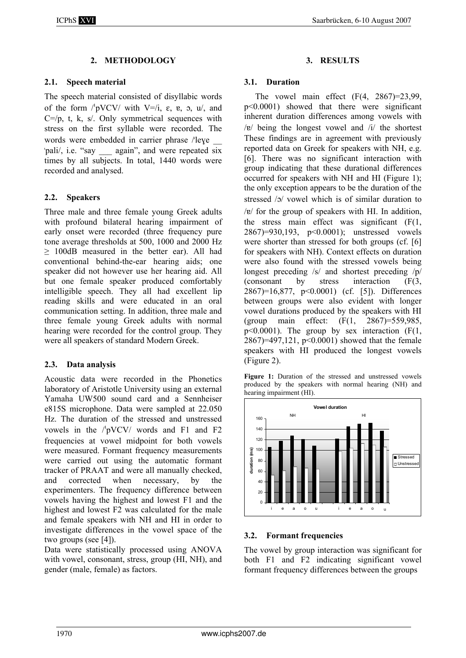# **2. METHODOLOGY**

## **2.1. Speech material**

The speech material consisted of disyllabic words of the form  $\sqrt{\frac{pVCV}{m}}$  with  $V = \sqrt{i}$ ,  $\varepsilon$ ,  $v_0$ ,  $v_0$ , and  $C = /p$ , t, k, s/. Only symmetrical sequences with stress on the first syllable were recorded. The words were embedded in carrier phrase /'leye "pali/, i.e. "say again", and were repeated six times by all subjects. In total, 1440 words were recorded and analysed.

## **2.2. Speakers**

Three male and three female young Greek adults with profound bilateral hearing impairment of early onset were recorded (three frequency pure tone average thresholds at 500, 1000 and 2000 Hz ≥ 100dB measured in the better ear). All had conventional behind-the-ear hearing aids; one speaker did not however use her hearing aid. All but one female speaker produced comfortably intelligible speech. They all had excellent lip reading skills and were educated in an oral communication setting. In addition, three male and three female young Greek adults with normal hearing were recorded for the control group. They were all speakers of standard Modern Greek.

## **2.3. Data analysis**

Acoustic data were recorded in the Phonetics laboratory of Aristotle University using an external Yamaha UW500 sound card and a Sennheiser e815S microphone. Data were sampled at 22.050 Hz. The duration of the stressed and unstressed vowels in the  $/$ pVCV/ words and F1 and F2 frequencies at vowel midpoint for both vowels were measured. Formant frequency measurements were carried out using the automatic formant tracker of PRAAT and were all manually checked, and corrected when necessary, by the experimenters. The frequency difference between vowels having the highest and lowest F1 and the highest and lowest F2 was calculated for the male and female speakers with NH and HI in order to investigate differences in the vowel space of the two groups (see [4]).

Data were statistically processed using ANOVA with vowel, consonant, stress, group (HI, NH), and gender (male, female) as factors.

#### **3. RESULTS**

#### **3.1. Duration**

The vowel main effect  $(F(4, 2867)=23,99)$ , p<0.0001) showed that there were significant inherent duration differences among vowels with / $v$ / $v$  being the longest vowel and /i/ the shortest These findings are in agreement with previously reported data on Greek for speakers with NH, e.g. [6]. There was no significant interaction with group indicating that these durational differences occurred for speakers with NH and HI (Figure 1); the only exception appears to be the duration of the stressed  $\sqrt{2}$  vowel which is of similar duration to  $/v$  for the group of speakers with HI. In addition, the stress main effect was significant (F(1, 2867)=930,193, p<0.0001); unstressed vowels were shorter than stressed for both groups (cf. [6] for speakers with NH). Context effects on duration were also found with the stressed vowels being longest preceding /s/ and shortest preceding /p/ (consonant by stress interaction (F(3, 2867)=16,877, p<0.0001) (cf. [5]). Differences between groups were also evident with longer vowel durations produced by the speakers with HI (group main effect: (F(1, 2867)=559,985,  $p \leq 0.0001$ ). The group by sex interaction (F(1, 2867)=497,121, p<0.0001) showed that the female speakers with HI produced the longest vowels (Figure 2).

**Figure 1:** Duration of the stressed and unstressed vowels produced by the speakers with normal hearing (NH) and hearing impairment (HI).



## **3.2. Formant frequencies**

The vowel by group interaction was significant for both F1 and F2 indicating significant vowel formant frequency differences between the groups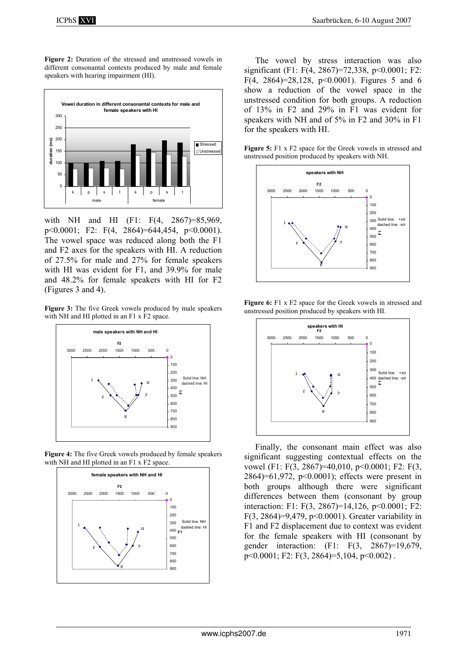**Figure 2:** Duration of the stressed and unstressed vowels in different consonantal contexts produced by male and female speakers with hearing impairment (HI).



with NH and HI (F1: F(4, 2867)=85,969, p<0.0001; F2: F(4, 2864)=644,454, p<0.0001). The vowel space was reduced along both the F1 and F2 axes for the speakers with HI. A reduction of 27.5% for male and 27% for female speakers with HI was evident for F1, and 39.9% for male and 48.2% for female speakers with HI for F2 (Figures 3 and 4).

**Figure 3:** The five Greek vowels produced by male speakers with NH and HI plotted in an F1 x F2 space.



**Figure 4:** The five Greek vowels produced by female speakers with NH and HI plotted in an F1 x F2 space.



The vowel by stress interaction was also significant (F1: F(4, 2867)=72,338, p<0.0001; F2: F(4, 2864)=28,128, p<0.0001). Figures 5 and 6 show a reduction of the vowel space in the unstressed condition for both groups. A reduction of 13% in F2 and 29% in F1 was evident for speakers with NH and of 5% in F2 and 30% in F1 for the speakers with HI.

**Figure 5:** F1 x F2 space for the Greek vowels in stressed and unstressed position produced by speakers with NH.



**Figure 6:** F1 x F2 space for the Greek vowels in stressed and unstressed position produced by speakers with HI.



Finally, the consonant main effect was also significant suggesting contextual effects on the vowel (F1: F(3, 2867)=40,010, p<0,0001; F2: F(3, 2864)=61,972, p<0.0001); effects were present in both groups although there were significant differences between them (consonant by group interaction: F1: F(3, 2867)=14,126, p<0.0001; F2: F(3, 2864)=9,479, p<0.0001). Greater variability in F1 and F2 displacement due to context was evident for the female speakers with HI (consonant by gender interaction: (F1: F(3, 2867)=19,679, p<0.0001; F2: F(3, 2864)=5,104, p<0.002) .